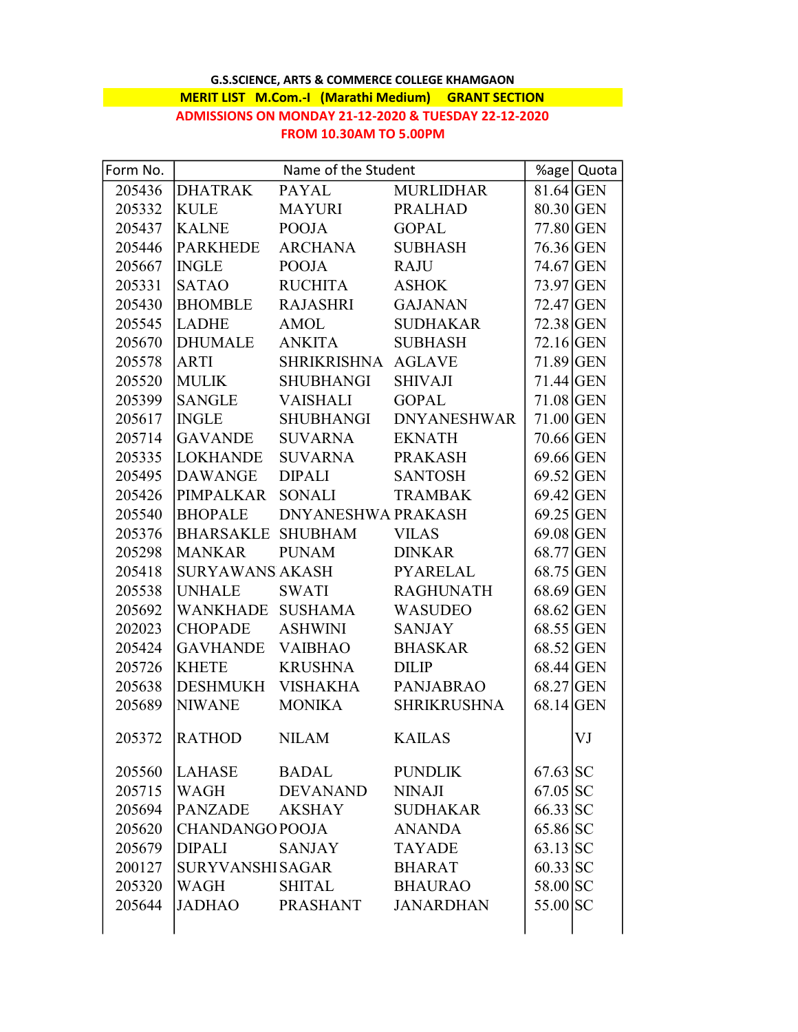## G.S.SCIENCE, ARTS & COMMERCE COLLEGE KHAMGAON MERIT LIST M.Com.-I (Marathi Medium) GRANT SECTION ADMISSIONS ON MONDAY 21-12-2020 & TUESDAY 22-12-2020 FROM 10.30AM TO 5.00PM

| Form No. | Name of the Student |                           |                    |             | %age   Quota |
|----------|---------------------|---------------------------|--------------------|-------------|--------------|
| 205436   | DHATRAK PAYAL       |                           | <b>MURLIDHAR</b>   | $81.64$ GEN |              |
| 205332   | <b>KULE</b>         | MAYURI                    | <b>PRALHAD</b>     | 80.30 GEN   |              |
| 205437   | KALNE               | <b>POOJA</b>              | <b>GOPAL</b>       | 77.80 GEN   |              |
| 205446   | <b>PARKHEDE</b>     | ARCHANA                   | <b>SUBHASH</b>     | 76.36 GEN   |              |
| 205667   | <b>INGLE</b>        | <b>POOJA</b>              | <b>RAJU</b>        | 74.67 GEN   |              |
| 205331   | <b>SATAO</b>        | RUCHITA                   | <b>ASHOK</b>       | 73.97 GEN   |              |
| 205430   | <b>BHOMBLE</b>      | RAJASHRI                  | <b>GAJANAN</b>     | $72.47$ GEN |              |
| 205545   | <b>LADHE</b>        | AMOL                      | <b>SUDHAKAR</b>    | 72.38 GEN   |              |
| 205670   | DHUMALE             | <b>ANKITA</b>             | <b>SUBHASH</b>     | $72.16$ GEN |              |
| 205578   | ARTI                | SHRIKRISHNA AGLAVE        |                    | $71.89$ GEN |              |
| 205520   | <b>MULIK</b>        | SHUBHANGI                 | <b>SHIVAJI</b>     | $71.44$ GEN |              |
| 205399   | SANGLE VAISHALI     |                           | <b>GOPAL</b>       | $71.08$ GEN |              |
| 205617   | <b>INGLE</b>        | SHUBHANGI                 | <b>DNYANESHWAR</b> | $71.00$ GEN |              |
| 205714   | GAVANDE             | <b>SUVARNA</b>            | <b>EKNATH</b>      | 70.66 GEN   |              |
| 205335   | <b>LOKHANDE</b>     | SUVARNA                   | <b>PRAKASH</b>     | $69.66$ GEN |              |
| 205495   | <b>DAWANGE</b>      | <b>DIPALI</b>             | <b>SANTOSH</b>     | $69.52$ GEN |              |
| 205426   | PIMPALKAR           | SONALI                    | <b>TRAMBAK</b>     | $69.42$ GEN |              |
| 205540   | <b>BHOPALE</b>      | <b>DNYANESHWA PRAKASH</b> |                    | $69.25$ GEN |              |
| 205376   |                     | BHARSAKLE SHUBHAM         | <b>VILAS</b>       | $69.08$ GEN |              |
| 205298   | <b>MANKAR</b>       | <b>PUNAM</b>              | <b>DINKAR</b>      | 68.77 GEN   |              |
| 205418   | SURYAWANS AKASH     |                           | <b>PYARELAL</b>    | $68.75$ GEN |              |
| 205538   | <b>UNHALE</b>       | SWATI                     | <b>RAGHUNATH</b>   | 68.69 GEN   |              |
| 205692   |                     | WANKHADE SUSHAMA          | WASUDEO            | $68.62$ GEN |              |
| 202023   | <b>CHOPADE</b>      | ASHWINI                   | <b>SANJAY</b>      | 68.55 GEN   |              |
| 205424   | GAVHANDE VAIBHAO    |                           | <b>BHASKAR</b>     | 68.52 GEN   |              |
| 205726   | <b>KHETE</b>        | <b>KRUSHNA</b>            | <b>DILIP</b>       | $68.44$ GEN |              |
| 205638   | DESHMUKH VISHAKHA   |                           | <b>PANJABRAO</b>   | 68.27 GEN   |              |
| 205689   | NIWANE              | <b>MONIKA</b>             | SHRIKRUSHNA        | $68.14$ GEN |              |
| 205372   | <b>RATHOD</b>       | <b>NILAM</b>              | <b>KAILAS</b>      |             | VJ           |
|          |                     |                           |                    |             |              |
| 205560   | <b>LAHASE</b>       | <b>BADAL</b>              | <b>PUNDLIK</b>     | $67.63$ SC  |              |
| 205715   | WAGH                | <b>DEVANAND</b>           | <b>NINAJI</b>      | $67.05$ SC  |              |
| 205694   | PANZADE             | <b>AKSHAY</b>             | <b>SUDHAKAR</b>    | 66.33 SC    |              |
| 205620   | CHANDANGO POOJA     |                           | <b>ANANDA</b>      | 65.86 SC    |              |
| 205679   | <b>DIPALI</b>       | <b>SANJAY</b>             | <b>TAYADE</b>      | $63.13$ SC  |              |
| 200127   | SURYVANSHI SAGAR    |                           | <b>BHARAT</b>      | $60.33$ SC  |              |
| 205320   | WAGH                | SHITAL                    | <b>BHAURAO</b>     | 58.00 SC    |              |
| 205644   | JADHAO              | PRASHANT                  | <b>JANARDHAN</b>   | 55.00 SC    |              |
|          |                     |                           |                    |             |              |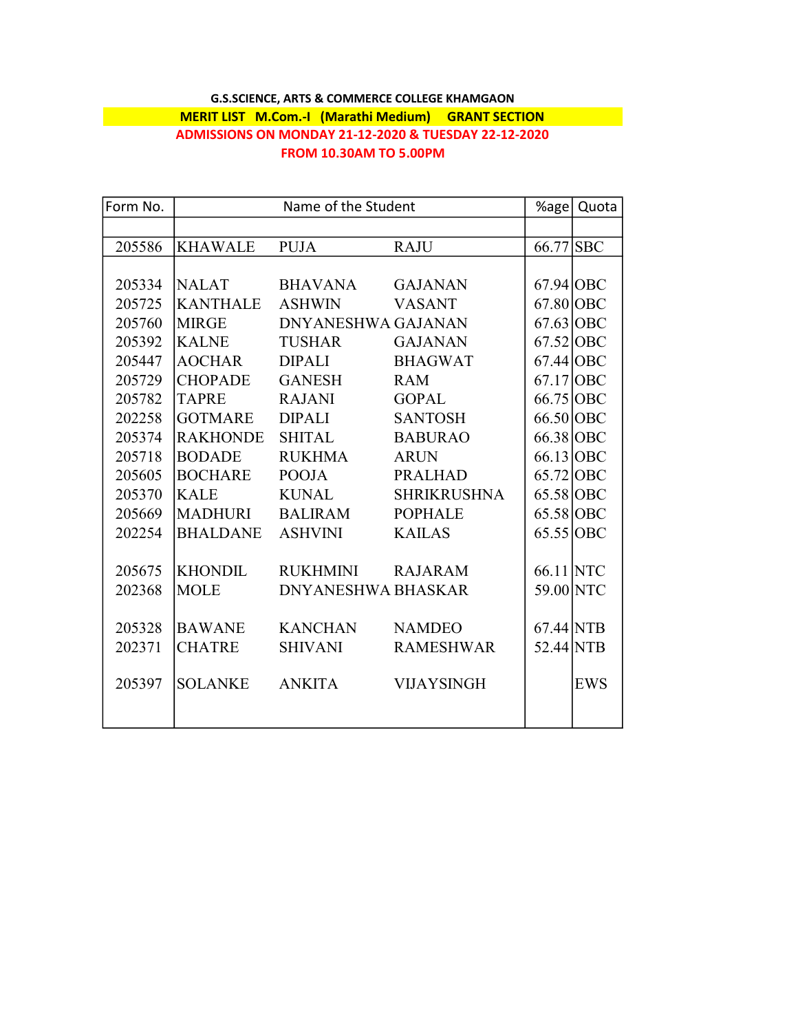## G.S.SCIENCE, ARTS & COMMERCE COLLEGE KHAMGAON MERIT LIST M.Com.-I (Marathi Medium) GRANT SECTION ADMISSIONS ON MONDAY 21-12-2020 & TUESDAY 22-12-2020 FROM 10.30AM TO 5.00PM

| Form No. | Name of the Student |                           |                    | %age        | Quota      |
|----------|---------------------|---------------------------|--------------------|-------------|------------|
|          |                     |                           |                    |             |            |
| 205586   | <b>KHAWALE</b>      | <b>PUJA</b>               | <b>RAJU</b>        | 66.77 SBC   |            |
|          |                     |                           |                    |             |            |
| 205334   | <b>NALAT</b>        | <b>BHAVANA</b>            | <b>GAJANAN</b>     | 67.94 OBC   |            |
| 205725   | <b>KANTHALE</b>     | <b>ASHWIN</b>             | <b>VASANT</b>      | $67.80$ OBC |            |
| 205760   | <b>MIRGE</b>        | <b>DNYANESHWA GAJANAN</b> |                    | $67.63$ OBC |            |
| 205392   | <b>KALNE</b>        | <b>TUSHAR</b>             | <b>GAJANAN</b>     | $67.52$ OBC |            |
| 205447   | <b>AOCHAR</b>       | <b>DIPALI</b>             | <b>BHAGWAT</b>     | $67.44$ OBC |            |
| 205729   | <b>CHOPADE</b>      | <b>GANESH</b>             | <b>RAM</b>         | 67.17 OBC   |            |
| 205782   | <b>TAPRE</b>        | <b>RAJANI</b>             | <b>GOPAL</b>       | 66.75 OBC   |            |
| 202258   | <b>GOTMARE</b>      | <b>DIPALI</b>             | <b>SANTOSH</b>     | 66.50 OBC   |            |
| 205374   | <b>RAKHONDE</b>     | <b>SHITAL</b>             | <b>BABURAO</b>     | 66.38 OBC   |            |
| 205718   | <b>BODADE</b>       | <b>RUKHMA</b>             | <b>ARUN</b>        | 66.13 OBC   |            |
| 205605   | <b>BOCHARE</b>      | <b>POOJA</b>              | <b>PRALHAD</b>     | $65.72$ OBC |            |
| 205370   | <b>KALE</b>         | <b>KUNAL</b>              | <b>SHRIKRUSHNA</b> | 65.58 OBC   |            |
| 205669   | <b>MADHURI</b>      | <b>BALIRAM</b>            | <b>POPHALE</b>     | 65.58 OBC   |            |
| 202254   | <b>BHALDANE</b>     | <b>ASHVINI</b>            | <b>KAILAS</b>      | 65.55 OBC   |            |
|          |                     |                           |                    |             |            |
| 205675   | <b>KHONDIL</b>      | <b>RUKHMINI</b>           | <b>RAJARAM</b>     | 66.11 NTC   |            |
| 202368   | <b>MOLE</b>         | <b>DNYANESHWA BHASKAR</b> |                    | 59.00 NTC   |            |
|          |                     |                           |                    |             |            |
| 205328   | <b>BAWANE</b>       | <b>KANCHAN</b>            | <b>NAMDEO</b>      | $67.44$ NTB |            |
| 202371   | <b>CHATRE</b>       | <b>SHIVANI</b>            | <b>RAMESHWAR</b>   | 52.44 NTB   |            |
|          |                     |                           |                    |             |            |
| 205397   | <b>SOLANKE</b>      | <b>ANKITA</b>             | <b>VIJAYSINGH</b>  |             | <b>EWS</b> |
|          |                     |                           |                    |             |            |
|          |                     |                           |                    |             |            |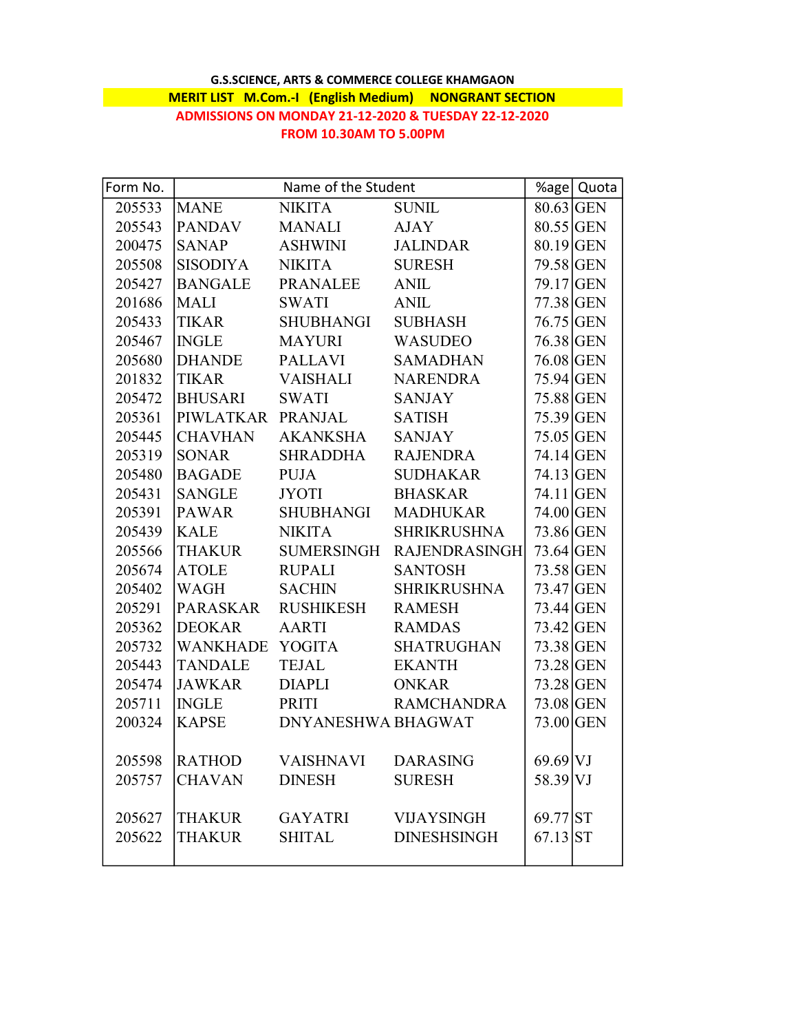## G.S.SCIENCE, ARTS & COMMERCE COLLEGE KHAMGAON **MERIT LIST M.Com.-I (English Medium) NONGRANT SECTION** ADMISSIONS ON MONDAY 21-12-2020 & TUESDAY 22-12-2020 FROM 10.30AM TO 5.00PM

| Form No. | Name of the Student |                           |                                 | %age Quota  |  |
|----------|---------------------|---------------------------|---------------------------------|-------------|--|
| 205533   | <b>MANE</b>         | NIKITA                    | <b>SUNIL</b>                    | $80.63$ GEN |  |
| 205543   | <b>PANDAV</b>       | <b>MANALI</b>             | AJAY                            | $80.55$ GEN |  |
| 200475   | <b>SANAP</b>        | ASHWINI                   | <b>JALINDAR</b>                 | $80.19$ GEN |  |
| 205508   | SISODIYA            | NIKITA                    | <b>SURESH</b>                   | 79.58 GEN   |  |
| 205427   |                     | BANGALE PRANALEE          | ANIL                            | 79.17 GEN   |  |
| 201686   | <b>MALI</b>         | <b>SWATI</b>              | ANIL                            | 77.38 GEN   |  |
| 205433   | <b>TIKAR</b>        | SHUBHANGI                 | <b>SUBHASH</b>                  | 76.75 GEN   |  |
| 205467   | <b>INGLE</b>        | MAYURI                    | <b>WASUDEO</b>                  | 76.38 GEN   |  |
| 205680   |                     | DHANDE PALLAVI            | <b>SAMADHAN</b>                 | 76.08 GEN   |  |
| 201832   | TIKAR               | <b>VAISHALI</b>           | <b>NARENDRA</b>                 | 75.94 GEN   |  |
| 205472   | <b>BHUSARI</b>      | SWATI                     | <b>SANJAY</b>                   | 75.88 GEN   |  |
| 205361   |                     | PIWLATKAR PRANJAL         | <b>SATISH</b>                   | 75.39 GEN   |  |
| 205445   | <b>CHAVHAN</b>      | AKANKSHA                  | <b>SANJAY</b>                   | $75.05$ GEN |  |
| 205319   | <b>SONAR</b>        | SHRADDHA                  | <b>RAJENDRA</b>                 | 74.14 GEN   |  |
| 205480   | <b>BAGADE</b>       | PUJA                      | <b>SUDHAKAR</b>                 | $74.13$ GEN |  |
| 205431   | <b>SANGLE</b>       | <b>JYOTI</b>              | <b>BHASKAR</b>                  | $74.11$ GEN |  |
| 205391   | <b>PAWAR</b>        | SHUBHANGI                 | <b>MADHUKAR</b>                 | $74.00$ GEN |  |
| 205439   | <b>KALE</b>         | <b>NIKITA</b>             | <b>SHRIKRUSHNA</b>              | 73.86 GEN   |  |
| 205566   |                     |                           | THAKUR SUMERSINGH RAJENDRASINGH | 73.64 GEN   |  |
| 205674   | <b>ATOLE</b>        | <b>RUPALI</b>             | <b>SANTOSH</b>                  | 73.58 GEN   |  |
| 205402   | WAGH                | <b>SACHIN</b>             | <b>SHRIKRUSHNA</b>              | 73.47 GEN   |  |
| 205291   |                     | PARASKAR RUSHIKESH        | <b>RAMESH</b>                   | 73.44 GEN   |  |
| 205362   | <b>DEOKAR</b>       | AARTI                     | <b>RAMDAS</b>                   | 73.42 GEN   |  |
| 205732   |                     | WANKHADE YOGITA           | <b>SHATRUGHAN</b>               | 73.38 GEN   |  |
| 205443   | <b>TANDALE</b>      | <b>TEJAL</b>              | <b>EKANTH</b>                   | 73.28 GEN   |  |
| 205474   | <b>JAWKAR</b>       | <b>DIAPLI</b>             | <b>ONKAR</b>                    | 73.28 GEN   |  |
| 205711   | <b>INGLE</b>        | <b>PRITI</b>              | <b>RAMCHANDRA</b>               | 73.08 GEN   |  |
| 200324   | <b>KAPSE</b>        | DNYANESHWA BHAGWAT        |                                 | 73.00 GEN   |  |
|          |                     |                           |                                 |             |  |
| 205598   |                     | RATHOD VAISHNAVI DARASING |                                 | $69.69$ VJ  |  |
| 205757   | <b>CHAVAN</b>       | <b>DINESH</b>             | <b>SURESH</b>                   | 58.39 VJ    |  |
|          |                     |                           |                                 |             |  |
| 205627   | <b>THAKUR</b>       | <b>GAYATRI</b>            | <b>VIJAYSINGH</b>               | 69.77 ST    |  |
| 205622   | <b>THAKUR</b>       | <b>SHITAL</b>             | <b>DINESHSINGH</b>              | $67.13$ ST  |  |
|          |                     |                           |                                 |             |  |